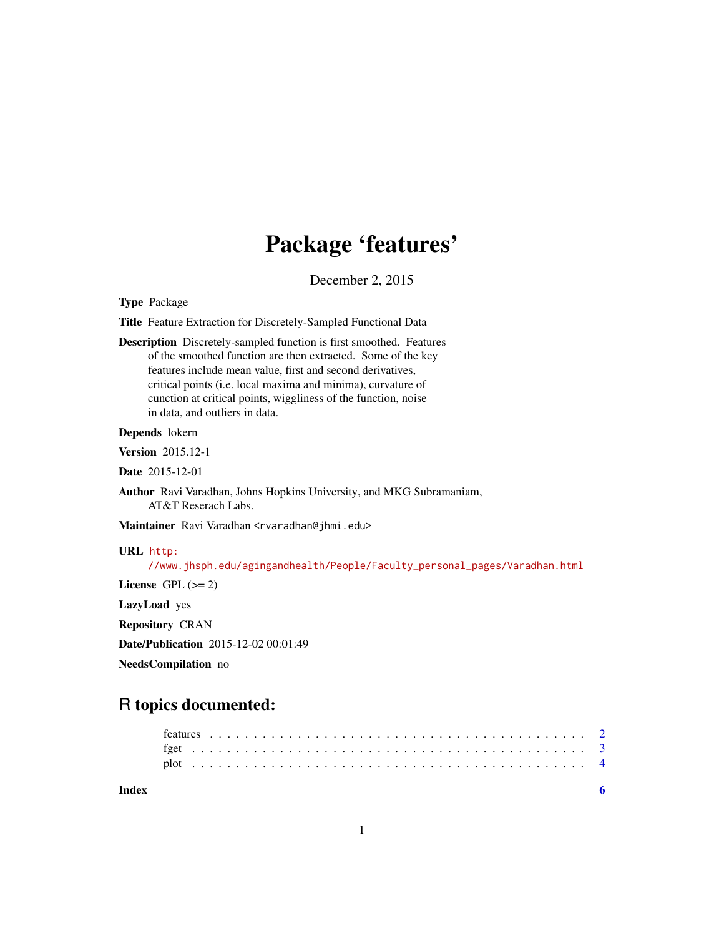## Package 'features'

December 2, 2015

<span id="page-0-0"></span>Type Package

Title Feature Extraction for Discretely-Sampled Functional Data

Description Discretely-sampled function is first smoothed. Features of the smoothed function are then extracted. Some of the key features include mean value, first and second derivatives, critical points (i.e. local maxima and minima), curvature of cunction at critical points, wiggliness of the function, noise in data, and outliers in data.

#### Depends lokern

Version 2015.12-1

Date 2015-12-01

Author Ravi Varadhan, Johns Hopkins University, and MKG Subramaniam, AT&T Reserach Labs.

Maintainer Ravi Varadhan <rvaradhan@jhmi.edu>

#### URL [http:](http://www.jhsph.edu/agingandhealth/People/Faculty_personal_pages/Varadhan.html)

[//www.jhsph.edu/agingandhealth/People/Faculty\\_personal\\_pages/Varadhan.html](http://www.jhsph.edu/agingandhealth/People/Faculty_personal_pages/Varadhan.html)

License GPL  $(>= 2)$ 

LazyLoad yes

Repository CRAN

Date/Publication 2015-12-02 00:01:49

NeedsCompilation no

### R topics documented:

**Index** [6](#page-5-0) **6**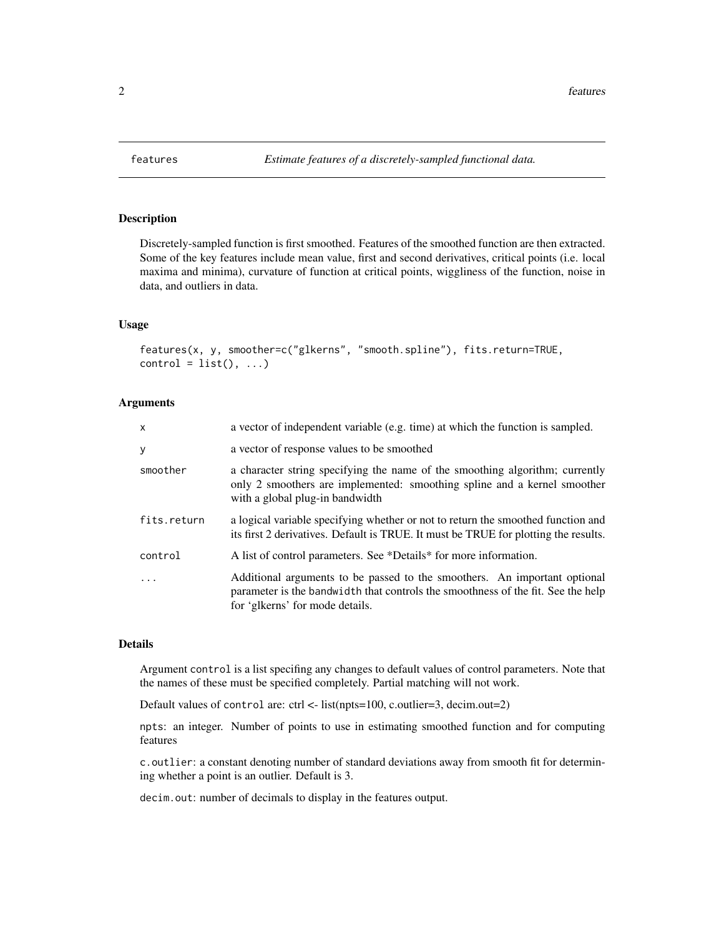<span id="page-1-1"></span><span id="page-1-0"></span>

#### Description

Discretely-sampled function is first smoothed. Features of the smoothed function are then extracted. Some of the key features include mean value, first and second derivatives, critical points (i.e. local maxima and minima), curvature of function at critical points, wiggliness of the function, noise in data, and outliers in data.

#### Usage

features(x, y, smoother=c("glkerns", "smooth.spline"), fits.return=TRUE,  $control = list(), ...)$ 

#### Arguments

| $\mathsf{x}$ | a vector of independent variable (e.g. time) at which the function is sampled.                                                                                                                   |
|--------------|--------------------------------------------------------------------------------------------------------------------------------------------------------------------------------------------------|
| У            | a vector of response values to be smoothed                                                                                                                                                       |
| smoother     | a character string specifying the name of the smoothing algorithm; currently<br>only 2 smoothers are implemented: smoothing spline and a kernel smoother<br>with a global plug-in bandwidth      |
| fits.return  | a logical variable specifying whether or not to return the smoothed function and<br>its first 2 derivatives. Default is TRUE. It must be TRUE for plotting the results.                          |
| control      | A list of control parameters. See *Details* for more information.                                                                                                                                |
|              | Additional arguments to be passed to the smoothers. An important optional<br>parameter is the bandwidth that controls the smoothness of the fit. See the help<br>for 'glkerns' for mode details. |

#### Details

Argument control is a list specifing any changes to default values of control parameters. Note that the names of these must be specified completely. Partial matching will not work.

Default values of control are: ctrl <- list(npts=100, c.outlier=3, decim.out=2)

npts: an integer. Number of points to use in estimating smoothed function and for computing features

c.outlier: a constant denoting number of standard deviations away from smooth fit for determining whether a point is an outlier. Default is 3.

decim.out: number of decimals to display in the features output.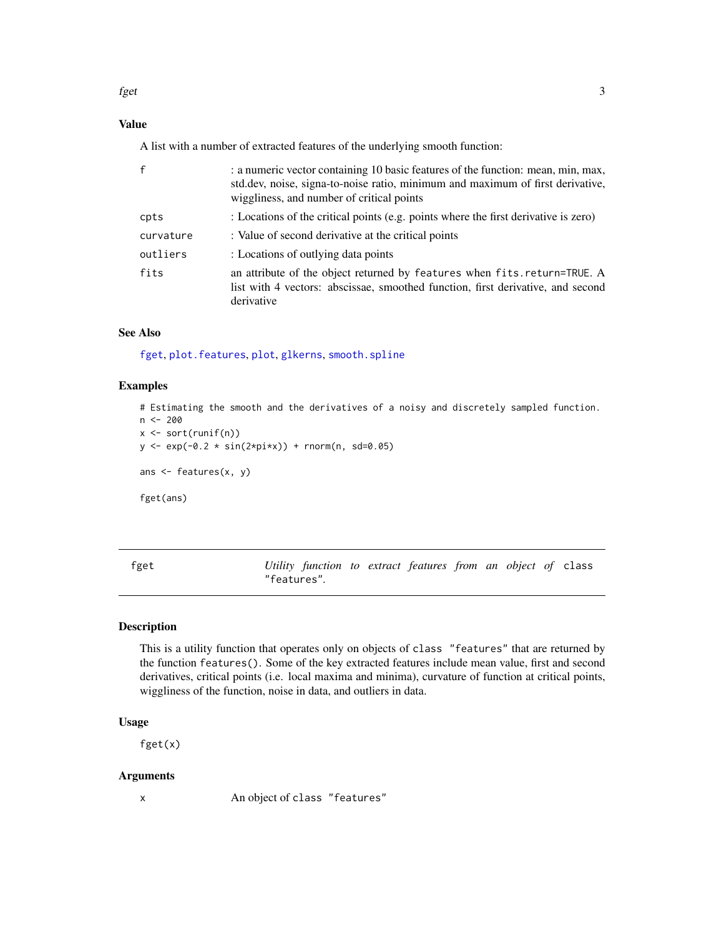<span id="page-2-0"></span>fget  $\sim$  3

#### Value

A list with a number of extracted features of the underlying smooth function:

| $\mathsf{f}$ | : a numeric vector containing 10 basic features of the function: mean, min, max,<br>std.dev, noise, signa-to-noise ratio, minimum and maximum of first derivative,<br>wiggliness, and number of critical points |
|--------------|-----------------------------------------------------------------------------------------------------------------------------------------------------------------------------------------------------------------|
| cpts         | : Locations of the critical points (e.g. points where the first derivative is zero)                                                                                                                             |
| curvature    | : Value of second derivative at the critical points                                                                                                                                                             |
| outliers     | : Locations of outlying data points                                                                                                                                                                             |
| fits         | an attribute of the object returned by features when fits.return=TRUE. A<br>list with 4 vectors: abscissae, smoothed function, first derivative, and second<br>derivative                                       |

#### See Also

[fget](#page-2-1), [plot.features](#page-3-1), [plot](#page-3-2), [glkerns](#page-0-0), [smooth.spline](#page-0-0)

#### Examples

```
# Estimating the smooth and the derivatives of a noisy and discretely sampled function.
n <- 200
x \leftarrow sort(runif(n))y \le - \exp(-0.2 \times \sin(2 \times \pi) + \text{norm}(n, \text{ sd=0.05})ans \leq features(x, y)
fget(ans)
```
<span id="page-2-1"></span>fget *Utility function to extract features from an object of* class "features"*.*

#### Description

This is a utility function that operates only on objects of class "features" that are returned by the function features(). Some of the key extracted features include mean value, first and second derivatives, critical points (i.e. local maxima and minima), curvature of function at critical points, wiggliness of the function, noise in data, and outliers in data.

#### Usage

fget(x)

#### Arguments

x An object of class "features"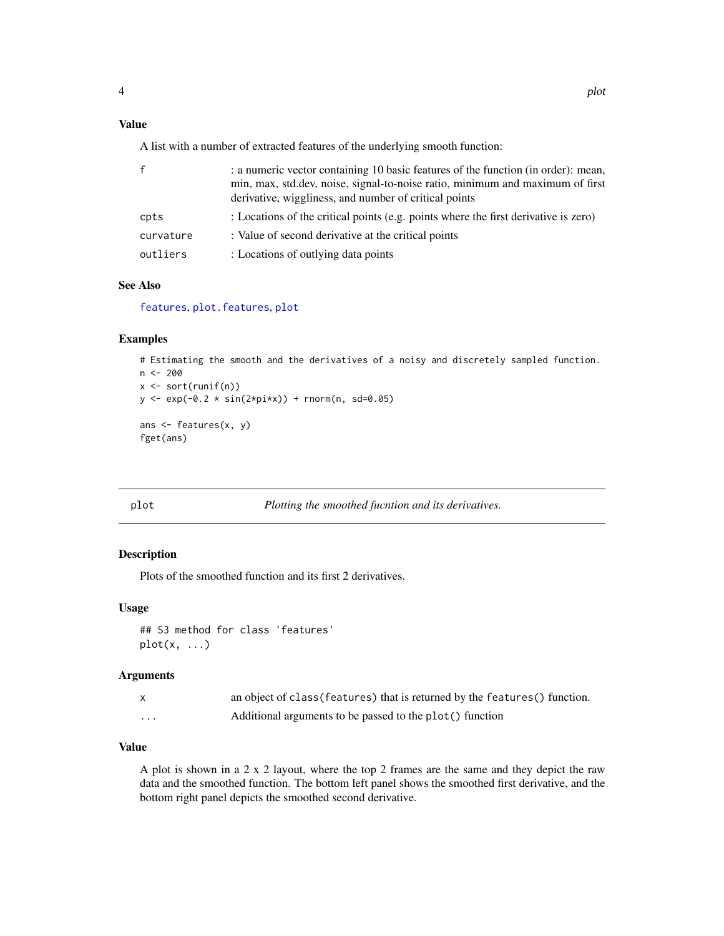#### <span id="page-3-0"></span>Value

A list with a number of extracted features of the underlying smooth function:

| f         | : a numeric vector containing 10 basic features of the function (in order): mean,<br>min, max, std.dev, noise, signal-to-noise ratio, minimum and maximum of first<br>derivative, wiggliness, and number of critical points |
|-----------|-----------------------------------------------------------------------------------------------------------------------------------------------------------------------------------------------------------------------------|
| cpts      | : Locations of the critical points (e.g. points where the first derivative is zero)                                                                                                                                         |
| curvature | : Value of second derivative at the critical points                                                                                                                                                                         |
| outliers  | : Locations of outlying data points                                                                                                                                                                                         |

#### See Also

[features](#page-1-1), [plot](#page-3-2). features, plot

#### Examples

```
# Estimating the smooth and the derivatives of a noisy and discretely sampled function.
n <- 200
x \leftarrow sort(runif(n))y \le - \exp(-0.2 \times \sin(2 \times \pi) + \text{norm}(n, \text{ sd=0.05})ans \leq features(x, y)
fget(ans)
```
<span id="page-3-2"></span>

plot *Plotting the smoothed fucntion and its derivatives.*

#### <span id="page-3-1"></span>Description

Plots of the smoothed function and its first 2 derivatives.

#### Usage

## S3 method for class 'features'  $plot(x, \ldots)$ 

#### Arguments

|   | an object of class (features) that is returned by the features () function. |
|---|-----------------------------------------------------------------------------|
| . | Additional arguments to be passed to the plot() function                    |

#### Value

A plot is shown in a 2 x 2 layout, where the top 2 frames are the same and they depict the raw data and the smoothed function. The bottom left panel shows the smoothed first derivative, and the bottom right panel depicts the smoothed second derivative.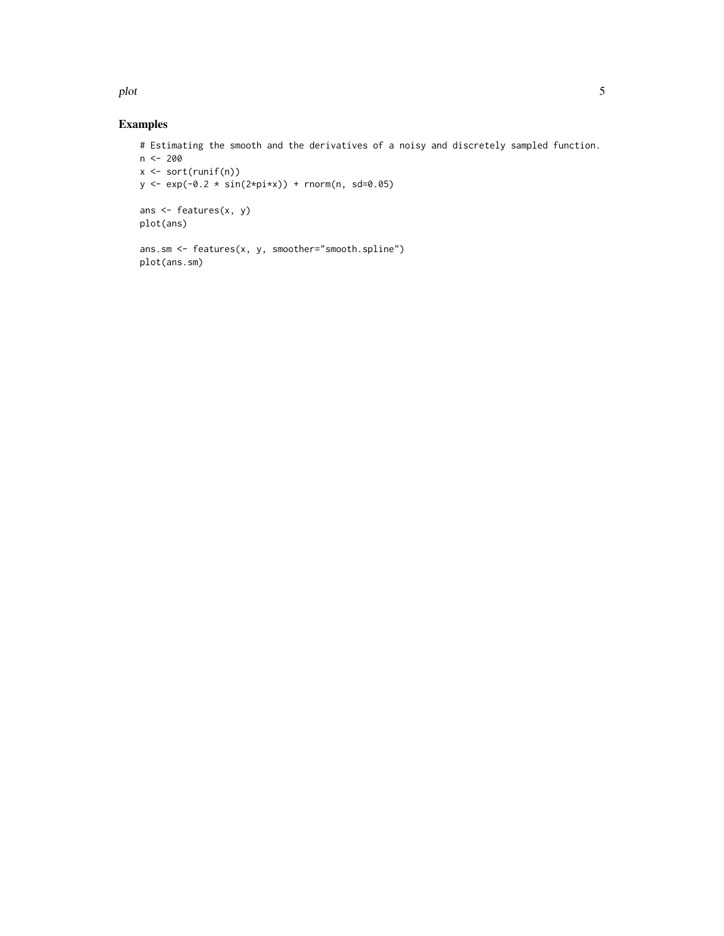plot 5

#### Examples

```
# Estimating the smooth and the derivatives of a noisy and discretely sampled function.
n <- 200
x <- sort(runif(n))
y \leq - \exp(-0.2 \times \sin(2 \times \pi) + \text{norm}(n, \text{ sd=0.05})ans <- features(x, y)
plot(ans)
ans.sm <- features(x, y, smoother="smooth.spline")
plot(ans.sm)
```